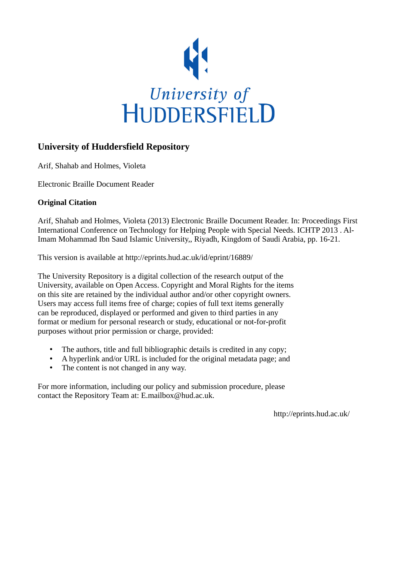

# **University of Huddersfield Repository**

Arif, Shahab and Holmes, Violeta

Electronic Braille Document Reader

## **Original Citation**

Arif, Shahab and Holmes, Violeta (2013) Electronic Braille Document Reader. In: Proceedings First International Conference on Technology for Helping People with Special Needs. ICHTP 2013 . Al-Imam Mohammad Ibn Saud Islamic University,, Riyadh, Kingdom of Saudi Arabia, pp. 16-21.

This version is available at http://eprints.hud.ac.uk/id/eprint/16889/

The University Repository is a digital collection of the research output of the University, available on Open Access. Copyright and Moral Rights for the items on this site are retained by the individual author and/or other copyright owners. Users may access full items free of charge; copies of full text items generally can be reproduced, displayed or performed and given to third parties in any format or medium for personal research or study, educational or not-for-profit purposes without prior permission or charge, provided:

- The authors, title and full bibliographic details is credited in any copy;
- A hyperlink and/or URL is included for the original metadata page; and
- The content is not changed in any way.

For more information, including our policy and submission procedure, please contact the Repository Team at: E.mailbox@hud.ac.uk.

http://eprints.hud.ac.uk/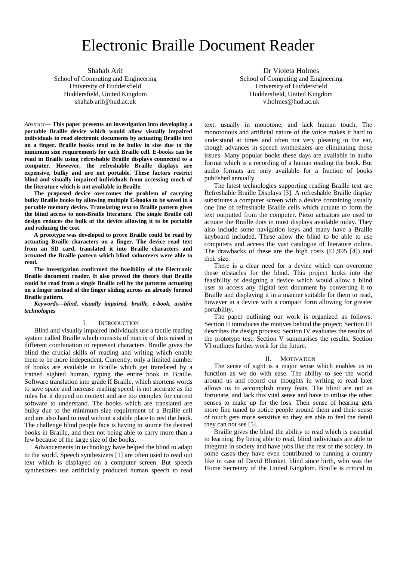# Electronic Braille Document Reader

Shahab Arif School of Computing and Engineering University of Huddersfield

Huddersfield, United Kingdom shahab.arif@hud.ac.uk

*Abstract***— This paper presents an investigation into developing a portable Braille device which would allow visually impaired individuals to read electronic documents by actuating Braille text on a finger. Braille books tend to be bulky in size due to the minimum size requirements for each Braille cell. E-books can be read in Braille using refreshable Braille displays connected to a computer. However, the refreshable Braille displays are expensive, bulky and are not portable. These factors restrict blind and visually impaired individuals from accessing much of the literature which is not available in Braille.** 

**The proposed device overcomes the problem of carrying bulky Braille books by allowing multiple E-books to be saved in a portable memory device. Translating text to Braille pattern gives the blind access to non-Braille literature. The single Braille cell design reduces the bulk of the device allowing it to be portable and reducing the cost.** 

**A prototype was developed to prove Braille could be read by actuating Braille characters on a finger. The device read text from an SD card, translated it into Braille characters and actuated the Braille pattern which blind volunteers were able to read.** 

**The investigation confirmed the feasibility of the Electronic Braille document reader. It also proved the theory that Braille could be read from a single Braille cell by the patterns actuating on a finger instead of the finger sliding across an already formed Braille pattern.**

*Keywords—blind, visually impaired, braille, e-book, assitive technologies*

### I. INTRODUCTION

Blind and visually impaired individuals use a tactile reading system called Braille which consists of matrix of dots raised in different combination to represent characters. Braille gives the blind the crucial skills of reading and writing which enable them to be more independent. Currently, only a limited number of books are available in Braille which get translated by a trained sighted human, typing the entire book in Braille. Software translation into grade II Braille, which shortens words to save space and increase reading speed, is not accurate as the rules for it depend on context and are too complex for current software to understand. The books which are translated are bulky due to the minimum size requirement of a Braille cell and are also hard to read without a stable place to rest the book. The challenge blind people face is having to source the desired books in Braille, and then not being able to carry more than a few because of the large size of the books.

Advancements in technology have helped the blind to adapt to the world. Speech synthesizers [1] are often used to read out text which is displayed on a computer screen. But speech synthesizers use artificially produced human speech to read

Dr Violeta Holmes School of Computing and Engineering University of Huddersfield Huddersfield, United Kingdom v.holmes@hud.ac.uk

text, usually in monotone, and lack human touch. The monotonous and artificial nature of the voice makes it hard to understand at times and often not very pleasing to the ear, though advances in speech synthesizers are eliminating those issues. Many popular books these days are available in audio format which is a recording of a human reading the book. But audio formats are only available for a fraction of books published annually.

The latest technologies supporting reading Braille text are Refreshable Braille Displays [3]. A refreshable Braille display substitutes a computer screen with a device containing usually one line of refreshable Braille cells which actuate to form the text outputted from the computer. Piezo actuators are used to actuate the Braille dots in most displays available today. They also include some navigation keys and many have a Braille keyboard included. These allow the blind to be able to use computers and access the vast catalogue of literature online. The drawbacks of these are the high costs  $(f1,995 \; [4])$  and their size.

There is a clear need for a device which can overcome these obstacles for the blind. This project looks into the feasibility of designing a device which would allow a blind user to access any digital text document by converting it to Braille and displaying it in a manner suitable for them to read, however in a device with a compact form allowing for greater portability.

The paper outlining our work is organized as follows: Section II introduces the motives behind the project; Section III describes the design process; Section IV evaluates the results of the prototype test; Section V summarises the results; Section VI outlines further work for the future.

#### II. MOTIVATION

The sense of sight is a major sense which enables us to function as we do with ease. The ability to see the world around us and record our thoughts in writing to read later allows us to accomplish many feats. The blind are not as fortunate, and lack this vital sense and have to utilise the other senses to make up for the loss. Their sense of hearing gets more fine tuned to notice people around them and their sense of touch gets more sensitive so they are able to feel the detail they can not see [5].

Braille gives the blind the ability to read which is essential to learning. By being able to read, blind individuals are able to integrate in society and have jobs like the rest of the society. In some cases they have even contributed to running a country like in case of David Blunket, blind since birth, who was the Home Secretary of the United Kingdom. Braille is critical to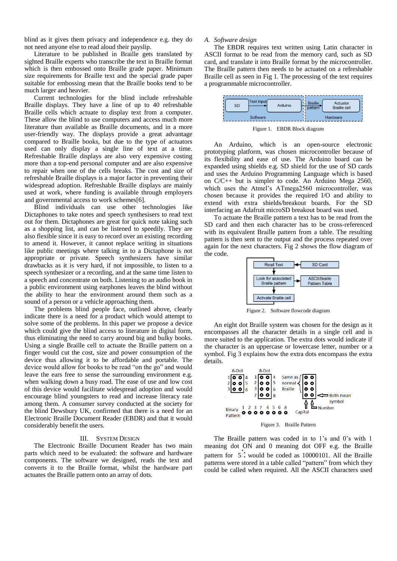blind as it gives them privacy and independence e.g. they do not need anyone else to read aloud their payslip.

Literature to be published in Braille gets translated by sighted Braille experts who transcribe the text in Braille format which is then embossed onto Braille grade paper. Minimum size requirements for Braille text and the special grade paper suitable for embossing mean that the Braille books tend to be much larger and heavier.

Current technologies for the blind include refreshable Braille displays. They have a line of up to 40 refreshable Braille cells which actuate to display text from a computer. These allow the blind to use computers and access much more literature than available as Braille documents, and in a more user-friendly way. The displays provide a great advantage compared to Braille books, but due to the type of actuators used can only display a single line of text at a time. Refreshable Braille displays are also very expensive costing more than a top-end personal computer and are also expensive to repair when one of the cells breaks. The cost and size of refreshable Braille displays is a major factor in preventing their widespread adoption. Refreshable Braille displays are mainly used at work, where funding is available through employers and governmental access to work schemes[6].

Blind individuals can use other technologies like Dictaphones to take notes and speech synthesisers to read text out for them. Dictaphones are great for quick note taking such as a shopping list, and can be listened to speedily. They are also flexible since it is easy to record over an existing recording to amend it. However, it cannot replace writing in situations like public meetings where talking in to a Dictaphone is not appropriate or private. Speech synthesizers have similar drawbacks as it is very hard, if not impossible, to listen to a speech synthesizer or a recording, and at the same time listen to a speech and concentrate on both. Listening to an audio book in a public environment using earphones leaves the blind without the ability to hear the environment around them such as a sound of a person or a vehicle approaching them.

The problems blind people face, outlined above, clearly indicate there is a need for a product which would attempt to solve some of the problems. In this paper we propose a device which could give the blind access to literature in digital form, thus eliminating the need to carry around big and bulky books. Using a single Braille cell to actuate the Braille pattern on a finger would cut the cost, size and power consumption of the device thus allowing it to be affordable and portable. The device would allow for books to be read "on the go" and would leave the ears free to sense the surrounding environment e.g. when walking down a busy road. The ease of use and low cost of this device would facilitate widespread adoption and would encourage blind youngsters to read and increase literacy rate among them. A consumer survey conducted at the society for the blind Dewsbury UK, confirmed that there is a need for an Electronic Braille Document Reader (EBDR) and that it would considerably benefit the users.

#### III. SYSTEM DESIGN

The Electronic Braille Document Reader has two main parts which need to be evaluated: the software and hardware components. The software we designed, reads the text and converts it to the Braille format, whilst the hardware part actuates the Braille pattern onto an array of dots.

## *A. Software design*

The EBDR requires text written using Latin character in ASCII format to be read from the memory card, such as SD card, and translate it into Braille format by the microcontroller. The Braille pattern then needs to be actuated on a refreshable Braille cell as seen in Fig 1. The processing of the text requires a programmable microcontroller.



Figure 1. EBDR Block diagram

An Arduino, which is an open-source electronic prototyping platform, was chosen microcontroller because of its flexibility and ease of use. The Arduino board can be expanded using shields e.g. SD shield for the use of SD cards and uses the Arduino Programming Language which is based on C/C++ but is simpler to code. An Arduino Mega 2560, which uses the Atmel's ATmega2560 microcontroller, was chosen because it provides the required I/O and ability to extend with extra shields/breakout boards. For the SD interfacing an Adafruit microSD breakout board was used.

To actuate the Braille pattern a text has to be read from the SD card and then each character has to be cross-referenced with its equivalent Braille pattern from a table. The resulting pattern is then sent to the output and the process repeated over again for the next characters. Fig 2 shows the flow diagram of the code.



Figure 2. Software flowcode diagram

An eight dot Braille system was chosen for the design as it encompasses all the character details in a single cell and is more suited to the application. The extra dots would indicate if the character is an uppercase or lowercase letter, number or a symbol. Fig 3 explains how the extra dots encompass the extra details.



The Braille pattern was coded in to 1's and 0's with 1 meaning dot ON and 0 meaning dot OFF e.g. the Braille pattern for  $5\ddot{\cdot}$  would be coded as 10000101. All the Braille patterns were stored in a table called "pattern" from which they could be called when required. All the ASCII characters used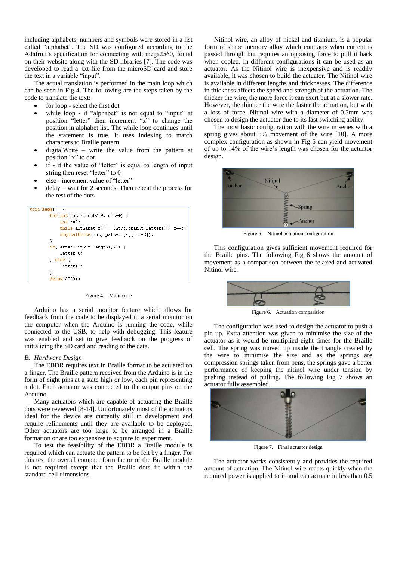including alphabets, numbers and symbols were stored in a list called "alphabet". The SD was configured according to the Adafruit's specification for connecting with mega2560, found on their website along with the SD libraries [7]. The code was developed to read a .txt file from the microSD card and store the text in a variable "input".

The actual translation is performed in the main loop which can be seen in Fig 4. The following are the steps taken by the code to translate the text:

- for loop select the first dot
- while loop if "alphabet" is not equal to "input" at position "letter" then increment "x" to change the position in alphabet list. The while loop continues until the statement is true. It uses indexing to match characters to Braille pattern
- digitalWrite write the value from the pattern at position "x" to dot
- if if the value of "letter" is equal to length of input string then reset "letter" to 0
- else increment value of "letter"
- delay wait for 2 seconds. Then repeat the process for the rest of the dots



Figure 4. Main code

Arduino has a serial monitor feature which allows for feedback from the code to be displayed in a serial monitor on the computer when the Arduino is running the code, while connected to the USB, to help with debugging. This feature was enabled and set to give feedback on the progress of initializing the SD card and reading of the data.

#### *B. Hardware Design*

The EBDR requires text in Braille format to be actuated on a finger. The Braille pattern received from the Arduino is in the form of eight pins at a state high or low, each pin representing a dot. Each actuator was connected to the output pins on the Arduino.

Many actuators which are capable of actuating the Braille dots were reviewed [8-14]. Unfortunately most of the actuators ideal for the device are currently still in development and require refinements until they are available to be deployed. Other actuators are too large to be arranged in a Braille formation or are too expensive to acquire to experiment.

To test the feasibility of the EBDR a Braille module is required which can actuate the pattern to be felt by a finger. For this test the overall compact form factor of the Braille module is not required except that the Braille dots fit within the standard cell dimensions.

Nitinol wire, an alloy of nickel and titanium, is a popular form of shape memory alloy which contracts when current is passed through but requires an opposing force to pull it back when cooled. In different configurations it can be used as an actuator. As the Nitinol wire is inexpensive and is readily available, it was chosen to build the actuator. The Nitinol wire is available in different lengths and thicknesses. The difference in thickness affects the speed and strength of the actuation. The thicker the wire, the more force it can exert but at a slower rate. However, the thinner the wire the faster the actuation, but with a loss of force. Nitinol wire with a diameter of 0.5mm was chosen to design the actuator due to its fast switching ability.

The most basic configuration with the wire in series with a spring gives about 3% movement of the wire [10]. A more complex configuration as shown in Fig 5 can yield movement of up to 14% of the wire's length was chosen for the actuator design.



Figure 5. Nitinol actuation configuration

This configuration gives sufficient movement required for the Braille pins. The following Fig 6 shows the amount of movement as a comparison between the relaxed and activated Nitinol wire.



Figure 6. Actuation comparision

The configuration was used to design the actuator to push a pin up. Extra attention was given to minimise the size of the actuator as it would be multiplied eight times for the Braille cell. The spring was moved up inside the triangle created by the wire to minimise the size and as the springs are compression springs taken from pens, the springs gave a better performance of keeping the nitinol wire under tension by pushing instead of pulling. The following Fig 7 shows an actuator fully assembled.



Figure 7. Final actuator design

The actuator works consistently and provides the required amount of actuation. The Nitinol wire reacts quickly when the required power is applied to it, and can actuate in less than 0.5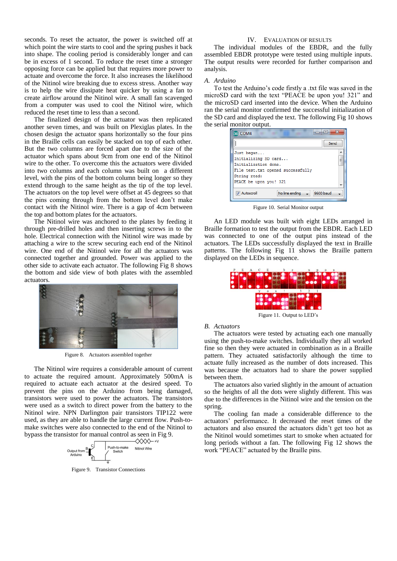seconds. To reset the actuator, the power is switched off at which point the wire starts to cool and the spring pushes it back into shape. The cooling period is considerably longer and can be in excess of 1 second. To reduce the reset time a stronger opposing force can be applied but that requires more power to actuate and overcome the force. It also increases the likelihood of the Nitinol wire breaking due to excess stress. Another way is to help the wire dissipate heat quicker by using a fan to create airflow around the Nitinol wire. A small fan scavenged from a computer was used to cool the Nitinol wire, which reduced the reset time to less than a second.

The finalized design of the actuator was then replicated another seven times, and was built on Plexiglas plates. In the chosen design the actuator spans horizontally so the four pins in the Braille cells can easily be stacked on top of each other. But the two columns are forced apart due to the size of the actuator which spans about 9cm from one end of the Nitinol wire to the other. To overcome this the actuators were divided into two columns and each column was built on a different level, with the pins of the bottom column being longer so they extend through to the same height as the tip of the top level. The actuators on the top level were offset at 45 degrees so that the pins coming through from the bottom level don't make contact with the Nitinol wire. There is a gap of 4cm between the top and bottom plates for the actuators.

The Nitinol wire was anchored to the plates by feeding it through pre-drilled holes and then inserting screws in to the hole. Electrical connection with the Nitinol wire was made by attaching a wire to the screw securing each end of the Nitinol wire. One end of the Nitinol wire for all the actuators was connected together and grounded. Power was applied to the other side to activate each actuator. The following Fig 8 shows the bottom and side view of both plates with the assembled actuators.



Figure 8. Actuators assembled together

The Nitinol wire requires a considerable amount of current to actuate the required amount. Approximately 500mA is required to actuate each actuator at the desired speed. To prevent the pins on the Arduino from being damaged, transistors were used to power the actuators. The transistors were used as a switch to direct power from the battery to the Nitinol wire. NPN Darlington pair transistors TIP122 were used, as they are able to handle the large current flow. Push-tomake switches were also connected to the end of the Nitinol to bypass the transistor for manual control as seen in Fig 9.



Figure 9. Transistor Connections

## IV. EVALUATION OF RESULTS

The individual modules of the EBDR, and the fully assembled EBDR prototype were tested using multiple inputs. The output results were recorded for further comparison and analysis.

## *A. Arduino*

To test the Arduino's code firstly a .txt file was saved in the microSD card with the text "PEACE be upon you! 321" and the microSD card inserted into the device. When the Arduino ran the serial monitor confirmed the successful initialization of the SD card and displayed the text. The following Fig 10 shows the serial monitor output.

| 53<br>$\blacksquare$<br>COM4              |  |
|-------------------------------------------|--|
| Send                                      |  |
| Just began                                |  |
| Initializing SD card                      |  |
| Initialization done.                      |  |
| File test.txt opened successfully         |  |
| String read:                              |  |
| PEACE be upon you! 321                    |  |
| 9600 baud<br>No line ending<br>Autoscroll |  |

Figure 10. Serial Monitor output

An LED module was built with eight LEDs arranged in Braille formation to test the output from the EBDR. Each LED was connected to one of the output pins instead of the actuators. The LEDs successfully displayed the text in Braille patterns. The following Fig 11 shows the Braille pattern displayed on the LEDs in sequence.



Figure 11. Output to LED's

### *B. Actuators*

The actuators were tested by actuating each one manually using the push-to-make switches. Individually they all worked fine so then they were actuated in combination as in a Braille pattern. They actuated satisfactorily although the time to actuate fully increased as the number of dots increased. This was because the actuators had to share the power supplied between them.

The actuators also varied slightly in the amount of actuation so the heights of all the dots were slightly different. This was due to the differences in the Nitinol wire and the tension on the spring.

The cooling fan made a considerable difference to the actuators' performance. It decreased the reset times of the actuators and also ensured the actuators didn't get too hot as the Nitinol would sometimes start to smoke when actuated for long periods without a fan. The following Fig 12 shows the work "PEACE" actuated by the Braille pins.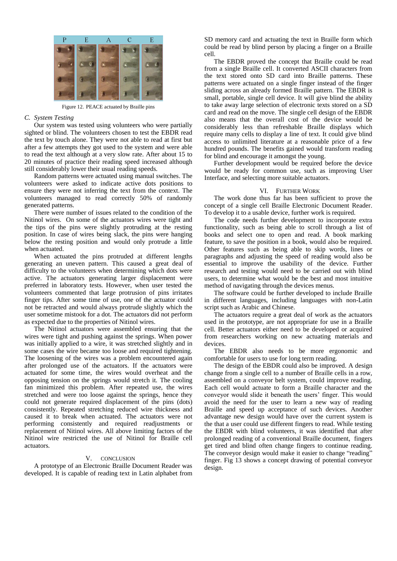

Figure 12. PEACE actuated by Braille pins

## *C. System Testing*

Our system was tested using volunteers who were partially sighted or blind. The volunteers chosen to test the EBDR read the text by touch alone. They were not able to read at first but after a few attempts they got used to the system and were able to read the text although at a very slow rate. After about 15 to 20 minutes of practice their reading speed increased although still considerably lower their usual reading speeds.

Random patterns were actuated using manual switches. The volunteers were asked to indicate active dots positions to ensure they were not inferring the text from the context. The volunteers managed to read correctly 50% of randomly generated patterns.

There were number of issues related to the condition of the Nitinol wires. On some of the actuators wires were tight and the tips of the pins were slightly protruding at the resting position. In case of wires being slack, the pins were hanging below the resting position and would only protrude a little when actuated.

When actuated the pins protruded at different lengths generating an uneven pattern. This caused a great deal of difficulty to the volunteers when determining which dots were active. The actuators generating larger displacement were preferred in laboratory tests. However, when user tested the volunteers commented that large protrusion of pins irritates finger tips. After some time of use, one of the actuator could not be retracted and would always protrude slightly which the user sometime mistook for a dot. The actuators did not perform as expected due to the properties of Nitinol wires.

The Nitinol actuators were assembled ensuring that the wires were tight and pushing against the springs. When power was initially applied to a wire, it was stretched slightly and in some cases the wire became too loose and required tightening. The loosening of the wires was a problem encountered again after prolonged use of the actuators. If the actuators were actuated for some time, the wires would overheat and the opposing tension on the springs would stretch it. The cooling fan minimized this problem. After repeated use, the wires stretched and were too loose against the springs, hence they could not generate required displacement of the pins (dots) consistently. Repeated stretching reduced wire thickness and caused it to break when actuated. The actuators were not performing consistently and required readjustments or replacement of Nitinol wires. All above limiting factors of the Nitinol wire restricted the use of Nitinol for Braille cell actuators.

## V. CONCLUSION

A prototype of an Electronic Braille Document Reader was developed. It is capable of reading text in Latin alphabet from SD memory card and actuating the text in Braille form which could be read by blind person by placing a finger on a Braille cell.

The EBDR proved the concept that Braille could be read from a single Braille cell. It converted ASCII characters from the text stored onto SD card into Braille patterns. These patterns were actuated on a single finger instead of the finger sliding across an already formed Braille pattern. The EBDR is small, portable, single cell device. It will give blind the ability to take away large selection of electronic texts stored on a SD card and read on the move. The single cell design of the EBDR also means that the overall cost of the device would be considerably less than refreshable Braille displays which require many cells to display a line of text. It could give blind access to unlimited literature at a reasonable price of a few hundred pounds. The benefits gained would transform reading for blind and encourage it amongst the young.

Further development would be required before the device would be ready for common use, such as improving User Interface, and selecting more suitable actuators.

## VI. FURTHER WORK

The work done thus far has been sufficient to prove the concept of a single cell Braille Electronic Document Reader. To develop it to a usable device, further work is required.

The code needs further development to incorporate extra functionality, such as being able to scroll through a list of books and select one to open and read. A book marking feature, to save the position in a book, would also be required. Other features such as being able to skip words, lines or paragraphs and adjusting the speed of reading would also be essential to improve the usability of the device. Further research and testing would need to be carried out with blind users, to determine what would be the best and most intuitive method of navigating through the devices menus.

The software could be further developed to include Braille in different languages, including languages with non-Latin script such as Arabic and Chinese.

The actuators require a great deal of work as the actuators used in the prototype, are not appropriate for use in a Braille cell. Better actuators either need to be developed or acquired from researchers working on new actuating materials and devices.

The EBDR also needs to be more ergonomic and comfortable for users to use for long term reading.

The design of the EBDR could also be improved. A design change from a single cell to a number of Braille cells in a row, assembled on a conveyor belt system, could improve reading. Each cell would actuate to form a Braille character and the conveyor would slide it beneath the users' finger. This would avoid the need for the user to learn a new way of reading Braille and speed up acceptance of such devices. Another advantage new design would have over the current system is the that a user could use different fingers to read. While testing the EBDR with blind volunteers, it was identified that after prolonged reading of a conventional Braille document, fingers get tired and blind often change fingers to continue reading. The conveyor design would make it easier to change "reading" finger. Fig 13 shows a concept drawing of potential conveyor design.